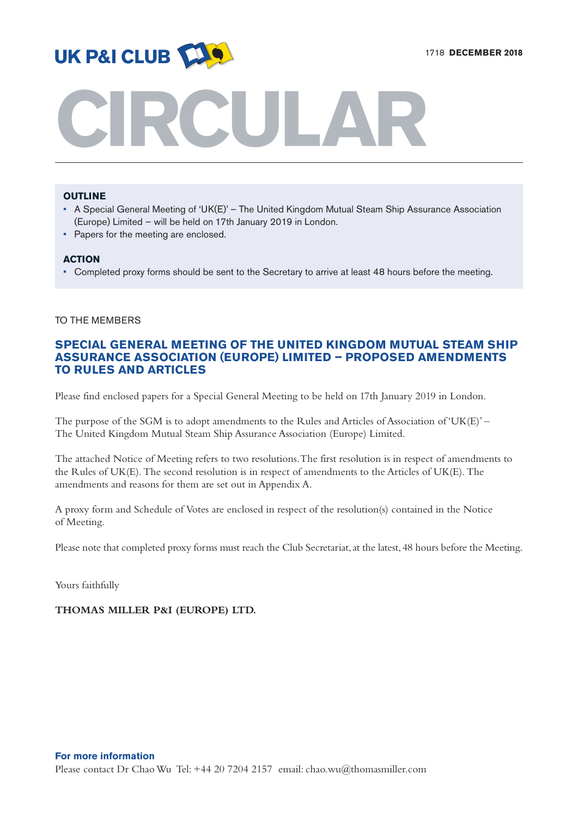

# **CIRCULAR**

# **OUTLINE**

- A Special General Meeting of 'UK(E)' The United Kingdom Mutual Steam Ship Assurance Association (Europe) Limited – will be held on 17th January 2019 in London.
- Papers for the meeting are enclosed.

# **ACTION**

• Completed proxy forms should be sent to the Secretary to arrive at least 48 hours before the meeting.

# TO THE MEMBERS

# **SPECIAL GENERAL MEETING OF THE UNITED KINGDOM MUTUAL STEAM SHIP ASSURANCE ASSOCIATION (EUROPE) LIMITED – PROPOSED AMENDMENTS TO RULES AND ARTICLES**

Please find enclosed papers for a Special General Meeting to be held on 17th January 2019 in London.

The purpose of the SGM is to adopt amendments to the Rules and Articles of Association of 'UK(E)' – The United Kingdom Mutual Steam Ship Assurance Association (Europe) Limited.

The attached Notice of Meeting refers to two resolutions.The first resolution is in respect of amendments to the Rules of UK(E).The second resolution is in respect of amendments to the Articles of UK(E).The amendments and reasons for them are set out in Appendix A.

A proxy form and Schedule of Votes are enclosed in respect of the resolution(s) contained in the Notice of Meeting.

Please note that completed proxy forms must reach the Club Secretariat, at the latest, 48 hours before the Meeting.

Yours faithfully

# **THOMAS MILLER P&I (EUROPE) LTD.**